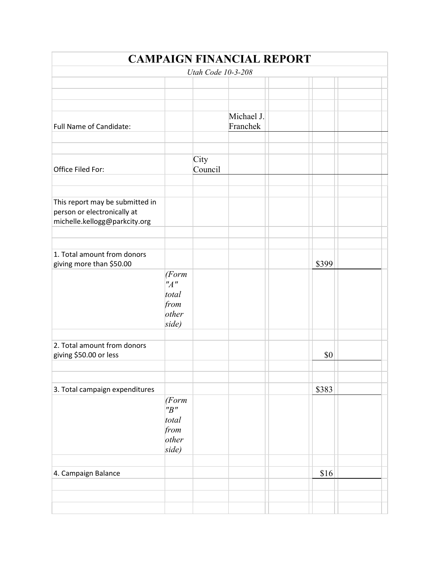|                                 |        |                    | <b>CAMPAIGN FINANCIAL REPORT</b> |       |  |
|---------------------------------|--------|--------------------|----------------------------------|-------|--|
|                                 |        | Utah Code 10-3-208 |                                  |       |  |
|                                 |        |                    |                                  |       |  |
|                                 |        |                    |                                  |       |  |
|                                 |        |                    |                                  |       |  |
|                                 |        |                    | Michael J.                       |       |  |
| Full Name of Candidate:         |        |                    | Franchek                         |       |  |
|                                 |        |                    |                                  |       |  |
|                                 |        |                    |                                  |       |  |
|                                 |        | City               |                                  |       |  |
| Office Filed For:               |        | Council            |                                  |       |  |
|                                 |        |                    |                                  |       |  |
|                                 |        |                    |                                  |       |  |
| This report may be submitted in |        |                    |                                  |       |  |
| person or electronically at     |        |                    |                                  |       |  |
| michelle.kellogg@parkcity.org   |        |                    |                                  |       |  |
|                                 |        |                    |                                  |       |  |
|                                 |        |                    |                                  |       |  |
| 1. Total amount from donors     |        |                    |                                  |       |  |
| giving more than \$50.00        |        |                    |                                  | \$399 |  |
|                                 | (Form  |                    |                                  |       |  |
|                                 | "A"    |                    |                                  |       |  |
|                                 | total  |                    |                                  |       |  |
|                                 | from   |                    |                                  |       |  |
|                                 | other  |                    |                                  |       |  |
|                                 | side)  |                    |                                  |       |  |
|                                 |        |                    |                                  |       |  |
| 2. Total amount from donors     |        |                    |                                  |       |  |
| giving \$50.00 or less          |        |                    |                                  | \$0   |  |
|                                 |        |                    |                                  |       |  |
|                                 |        |                    |                                  |       |  |
| 3. Total campaign expenditures  |        |                    |                                  | \$383 |  |
|                                 | (Form) |                    |                                  |       |  |
|                                 | "B"    |                    |                                  |       |  |
|                                 | total  |                    |                                  |       |  |
|                                 | from   |                    |                                  |       |  |
|                                 | other  |                    |                                  |       |  |
|                                 | side)  |                    |                                  |       |  |
|                                 |        |                    |                                  |       |  |
|                                 |        |                    |                                  |       |  |
| 4. Campaign Balance             |        |                    |                                  | \$16  |  |
|                                 |        |                    |                                  |       |  |
|                                 |        |                    |                                  |       |  |
|                                 |        |                    |                                  |       |  |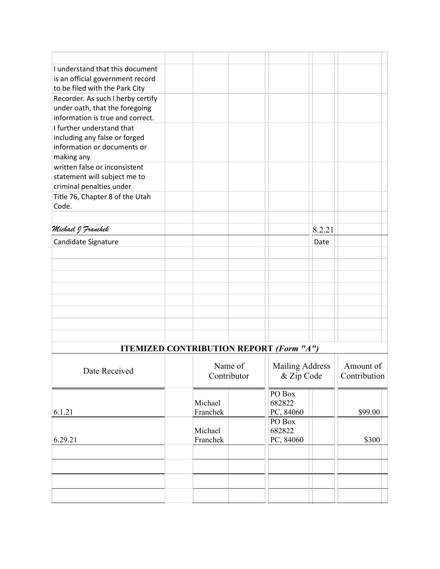| I understand that this document   |  |  |        |  |
|-----------------------------------|--|--|--------|--|
| is an official government record  |  |  |        |  |
| to be filed with the Park City    |  |  |        |  |
| Recorder. As such I herby certify |  |  |        |  |
| under oath, that the foregoing    |  |  |        |  |
| information is true and correct.  |  |  |        |  |
| I further understand that         |  |  |        |  |
| including any false or forged     |  |  |        |  |
| information or documents or       |  |  |        |  |
| making any                        |  |  |        |  |
| written false or inconsistent     |  |  |        |  |
| statement will subject me to      |  |  |        |  |
| criminal penalties under          |  |  |        |  |
| Title 76, Chapter 8 of the Utah   |  |  |        |  |
| Code.                             |  |  |        |  |
|                                   |  |  |        |  |
| Michael J Franchek                |  |  | 8.2.21 |  |
| Candidate Signature               |  |  | Date   |  |
|                                   |  |  |        |  |
|                                   |  |  |        |  |
|                                   |  |  |        |  |
|                                   |  |  |        |  |
|                                   |  |  |        |  |
|                                   |  |  |        |  |
|                                   |  |  |        |  |
|                                   |  |  |        |  |

| <b>ITEMIZED CONTRIBUTION REPORT (Form "A")</b> |  |                        |  |                                      |                           |  |  |
|------------------------------------------------|--|------------------------|--|--------------------------------------|---------------------------|--|--|
| Date Received                                  |  | Name of<br>Contributor |  | <b>Mailing Address</b><br>& Zip Code | Amount of<br>Contribution |  |  |
| 6.1.21                                         |  | Michael<br>Franchek    |  | PO Box<br>682822<br>PC, 84060        | \$99.00                   |  |  |
| 6.29.21                                        |  | Michael<br>Franchek    |  | PO Box<br>682822<br>PC, 84060        | \$300                     |  |  |
|                                                |  |                        |  |                                      |                           |  |  |
|                                                |  |                        |  |                                      |                           |  |  |